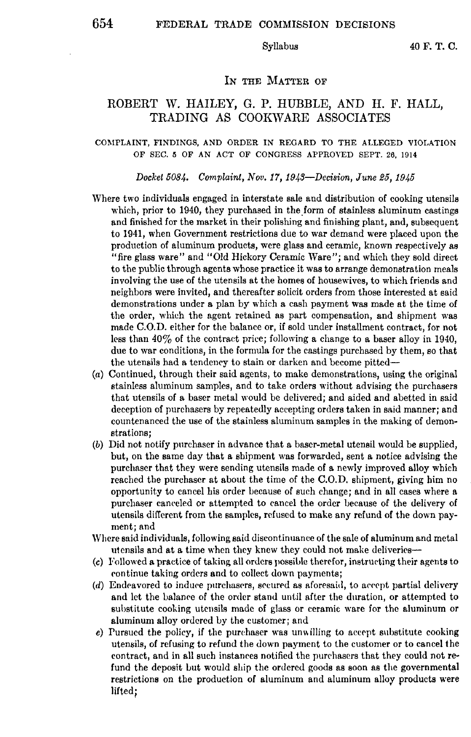### IN THE MATTER OF

# ROBERT W. HAILEY, G. P. HUBBLE, AND H. F. HALL, TRADING AS COOKWARE ASSOCIATES

#### COMPLAINT, FINDINGS, AND ORDER IN REGARD TO THE ALLEGED VIOLATION OF SEC. 5 OF AN ACT OF CONGRESS APPROVED SEPT. 26, 1914

## *Docket 5084. Complaint, Nov. 17, 1943-Decision, June 25, 1945*

- Where two individuals engaged in interstate sale and distribution of cooking utensils which, prior to  $1940$ , they purchased in the form of stainless aluminum castings and finished for the market in their polishing and finishing plant, and, subsequent to 1941, when Government restrictions due to war demand were placed upon the production of aluminum products, were glass and ceramic, known respectively as "fire glass ware" and "Old Hickory Ceramic Ware"; and which they sold direct to the public through agents whose practice it was to arrange demonstration meals involving the use of the utensils at the homes of housewives, to which friends and neighbors were invited, and thereafter solicit orders from those interested at said demonstrations under a plan by which a cash payment was made at the time of the order, which the agent retained as part compensation, and shipment was made C.O.D. either for the balance or, if sold under installment contract, for not less than 40% of the contract price; following a change to a baser alloy in 1940, due to war conditions, in the formula for the castings purchased by them, so that the utensils had a tendency to stain or darken and become pitted-
- (a) Continued, through their said agents, to make demonstrations, using the original stainless aluminum samples, and to take orders without advising the purchasers that utensils of a baser metal would be delivered; and aided and abetted in said deception of purchasers by repeatedly accepting orders taken in said manner; and countenanced the use of the stainless aluminum samples in the making of demonstrations;
- (b) Did not notify purchaser in advance that **a** baser-metal utensil would be supplied, but, on the same day that a shipment was forwarded, sent **a** notice advising the purchaser that they were sending utensils made of **a** newly improved alloy which reached the purchaser at about the time of the C.O.D. shipment, giving him no opportunity to cancel his order because of such change; and in all cases where **a**  purchaser caneeled or attempted to cancel the order because of the delivery of utensils different from the samples, refused to make any refund of the down payment; and
- Where said individuals, following said discontinuance of the sale of aluminum and metal utensils and at a time when they knew they could not make deliveries-
- (c) Followed a practice of taking all orders possiule therefor, instructing their agents to continue taking orders and to collect down payments;
- $(d)$  Endeavored to induce purchasers, secured as aforesaid, to accept partial delivery and let the Lalanre of the order stand until after the duration, **or** attempted to substitute cooking utensils made of glass or ceramic ware for the aluminum or aluminum alloy ordered by the customer; and
- e) Pursued the policy, if the purchaser was unwilling to accept substitute cooking utensils, of refusing to refund the down payment to the customer or to cancel the contract, and in all such instances notified the purehascrs that they could not refund the deposit but would ship the ordered goods as soon as the governmental restrictions on the production of aluminum and aluminum alloy products were lifted;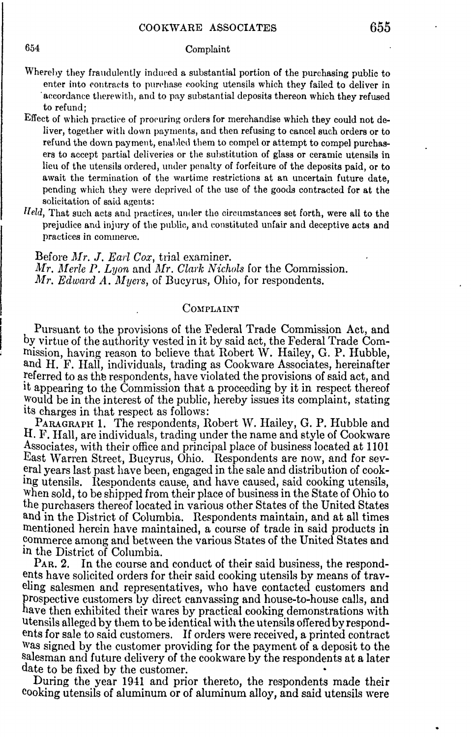## 654 Complaint

- Whereby they fraudulently induced a substantial portion of the purchasing public to enter into contracts to purchase cooking utensils which they failed to deliver in · accordance therewith, and to pay substantial deposits thereon which they refused to refund;
- Effect of which practice of procuring orders for merchandise which they could not deliver, together with down payments, and then refusing to cancel such orders or to refund the down payment, enabled them to compel or attempt to compel purchasers to accept partial deliveries or the substitution of glass or ceramic utensils in lieu of the utensils ordered, under penalty of forfeiture of the deposits paid, or to await the termination of the wartime restrictions at an uncertain future date, pending which they were deprived of the use of the goods contracted for at the solicitation of said agents:
- Held, That such acts and practices, under the circumstances set forth, were all to the prejudice and injmy of the public, and constituted unfair and deceptive acts **and**  practices in commerce.

Before *Mr. J. Earl Cox*, trial examiner. *Mr. Merle P. Lyon and Mr. Clark Nichols* for the Commission. *Mr. Edward A. Myers, of Bucyrus, Ohio, for respondents.* 

## COMPLAINT

Pursuant to the provisions of the Federal Trade Commission Act, and by virtue of the authority vested in it by said act, the Federal Trade Comrnission, having reason to believe that Robert W. Hailey, G. P. Hubble, and H. F. Hall, individuals, trading as Cookware Associates, hereinafter referred to as the respondents, have violated the provisions of said act, and it appearing to the Commission that a proceeding by it in respect thereof would be in the interest of the public, hereby issues its complaint, stating its charges in that respect as follows:

PARAGRAPH 1. The respondents, Robert W. Hailey, G. P. Hubble and II. F. Hall, are individuals, trading under the name and style of Cookware Associates, with their office and principal place of business located at 1101 East Warren Street, Bucyrus, Ohio. Respondents are now, and for sev eral years last past have been, engaged in the sale and distribution of cooking utensils. Respondents cause, and have caused, said cooking utensils, when sold, to be shipped from their place of business in the State of Ohio to the purchasers thereof located in various other States of the United States and in the District of Columbia. Respondents maintain, and at all times mentioned herein have maintained, a course of trade in said products in ~ornmerce among and between the various States of the United States and in the District of Columbia.

PAR. 2. In the course and conduct of their said business, the respondents have solicited orders for their said cooking utensils by means of traveling salesmen and representatives, who have contacted customers and Prospective customers by direct canvassing and house-to-house calls, and have then exhibited their wares by practical cooking demonstrations with Utensils alleged by them to be identical with the utensils offered by respondents for sale to said customers. If orders were received, a printed contract Was signed by the customer providing for the payment of a deposit to the salesman and future delivery of the cookware by the respondents at a later date to be fixed by the customer.

During the year 1941 and prior thereto, the respondents made their cooking utensils of aluminum or of aluminum alloy, and said utensils were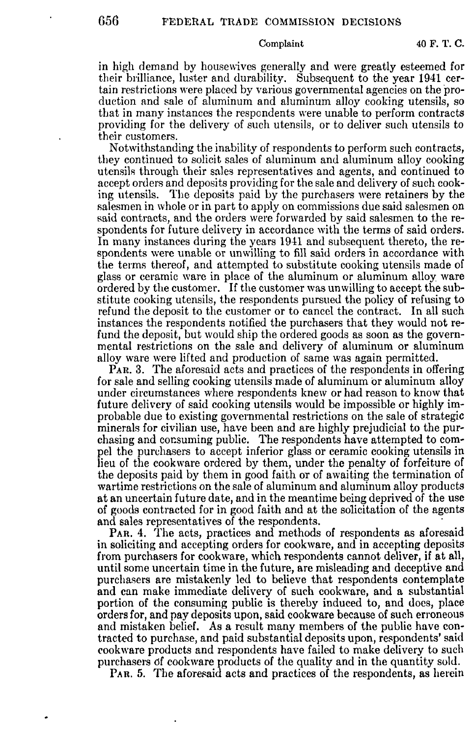Complaint 40 F. T. C.

in high demand by housewives generally and were greatly esteemed for their brilliance, luster and durability. Subsequent to the year 1941 certain restrictions were placed by various governmental agencies on the production and sale of aluminum and aluminum alloy cooking utensils, so that in many instances the respondents were unable to perform contracts providing for the delivery of such utensils, or to deliver such utensils to their customers.

Notwithstanding the inability of respondents to perform such contracts, they continued to solicit sales of aluminum and aluminum alloy cooking utensih; through their sales representatives and agents, and continued to accept orders and deposits providing for the sale and delivery of such cooking utensils. The deposits paid by the purchasers were retainers by the salesmen in whole or in part to apply on commissions due said salesmen on said contracts, and the orders were forwarded by said salesmen to the respondents for future delivery in accordance with the terms of said orders. In many instances during the years 1941 and subsequent thereto, the respondents were unable or unwilling to fill said orders in accordance with the terms thereof, and attempted to substitute cooking utensils made of glass or ceramic ware in place of the aluminum or aluminum alloy ware ordered by the customer. If the customer was unwilling to accept the substitute cooking utensils, the respondents pursued the policy of refusing to refund the deposit to the customer or to cancel the contract. In all such instances the respondents notified the purchasers that they would not refund the deposit, but would ship the ordered goods as soon as the governmental restrictions on the sale and delivery of aluminum or aluminum alloy ware were lifted and production of same was again permitted.

PAR. 3. The aforesaid acts and practices of the respondents in offering for sale and selling cooking utensils made of aluminum or aluminum alloy under circumstances where respondents knew or had reason to know that future delivery of said cooking utensils would be impossible or highly improbable due to existing governmental restrictions on the sale of strategic minerals for civilian use, have been and are highly prejudicial to the purchasing and consuming public. The respondents have attempted to compel the purchasers to accept inferior glass or ceramic cooking utensils in lieu of the cookware ordered by them, under the penalty of forfeiture of the deposits paid by them in good faith or of awaiting the termination of wartime restrictions on the sale of aluminum and aluminum alloy products at an uncertain future date, and in the meantime being deprived of the use of goods contracted for in good faith and at the solicitation of the agents and sales representatives of the respondents.

PAR. 4. The acts, practices and methods of respondents as aforesaid in soliciting and accepting orders for cookware, and in accepting deposits from purchasers for cookware, which respondents cannot deliver, if at all, until some uncertain time in the future, are misleading and deceptive and purchasers are mistakenly led to believe that respondents contemplate and can make immediate delivery of such cookware, and a substantial portion of the consuming public is thereby induced to, and docs, place orders for, and pay deposits upon, said cookware because of such erroneous and mistaken belief. As a result many members of the public have contracted to purchase, and paid substantial deposits upon, respondents' said cookware products and respondents have failed to make delivery to such purchasers elf cookware products of the quality and in the quantity sold.

PAR. 5. The aforesaid acts and practices of the respondents, as herein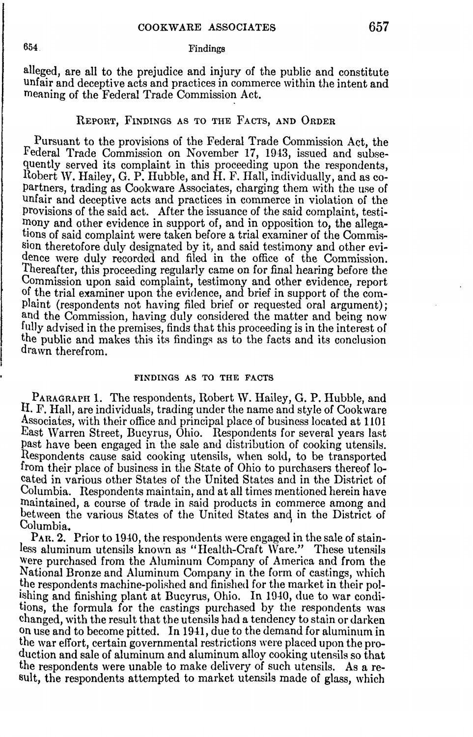### 654 Findings

alleged, are all to the prejudice and injury of the public and constitute unfair and deceptive acts and practices in commerce within the intent and meaning of the Federal Trade Commission Act.

### REPORT, FINDINGS AS TO THE FACTS, AND ORDER

Pursuant to the provisions of the Federal Trade Commission Act, the Federal Trade Commission on November 17, 1943, issued and subsequently served its complaint in this proceeding upon the respondents, Robert W. Hailey, G. P. Hubble, and H.F. Hall, individually, and as copartners, trading as Cookware Associates, charging them with the use of unfair and deceptive acts and practices in commerce in violation of the provisions of the said act. After the issuance of the said complaint, testimony and other evidence in support of, and in opposition to, the allegations of said complaint were taken before a trial examiner of the Commission theretofore duly designated by it, and said testimony and other evidence were duly recorded and filed in the office of the Commission. Thereafter, this proceeding regularly came on for final hearing before the Commission upon said complaint, testimony and other evidence, report of the trial examiner upon the evidence, and brief in support of the complaint (respondents not having filed brief or requested oral argument); and the Commission, having duly considered the matter and being now fully advised in the premises, finds that this proceeding is in the interest of the public and makes this its findings as to the facts and its conclusion drawn therefrom.

### FINDINGS AS TO THE FACTS

PARAGRAPH 1. The respondents, Robert W. Hailey, G. P. Hubble, and II. F. Hall, are individuals, trading under the name and style of Cookware Associates, with their office and principal place of business located at 1101 East Warren Street, Bucyrus, Ohio. Respondents for several years last Past have been engaged in the sale and distribution of cooking utensils. Respondents cause said cooking utensils, when sold, to be transported from their place of business in the State of Ohio to purchasers thereof located in various other States of the United States and in the District of Columbia. Respondents maintain, and at all times mentioned herein have maintained, a course of trade in said products in commerce among and between the various States of the United States and in the District of Columbia.

PAn. 2. Prior to 1940, the respondents were engaged in the sale of stainless aluminum utensils known as "Health-Craft Ware." These utensils Were purchased from the Aluminum Company of America and from the National Bronze and Aluminum Company in the form of castings, which the respondents machine-polished and finished for the market in their polishing and finishing plant at Bucyrus, Ohio. In 1940, due to war conditions, the formula for the castings purchased by the respondents was changed, with the result that the utensils had a tendency to stain or darken on use and to become pitted. In 1941, due to the demand for aluminum in the war effort, certain governmental restrictions were placed upon the production and sale of aluminum and aluminum alloy cooking utensils so that the respondents were unable to make delivery of such utensils. As a result, the respondents attempted to market utensils made of glass, which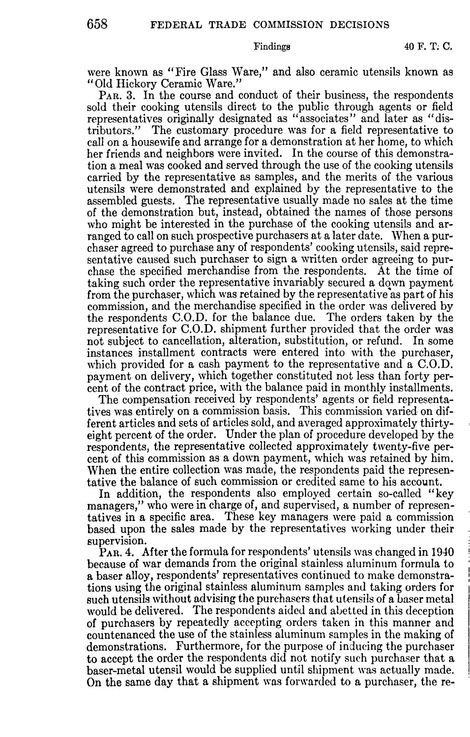were known as "Fire Glass Ware," and also ceramic utensils known as "Old Hickory Ceramic Ware."

PAR. 3. In the course and conduct of their business, the respondents sold their cooking utensils direct to the public through agents or field representatives originally designated as "associates" and later as "distributors." The customary procedure was for a field representative to call on a housewife and arrange for a demonstration at her home, to which her friends and neighbors were invited. In the course of this demonstration a meal was cooked and served through the use of the cooking utensils carried by the representative as samples, and the merits of the various utensils were demonstrated and explained by the representative to the assembled guests. The representative usually made no sales at the time of the demonstration but, instead, obtained the names of those persons who might be interested in the purchase of the cooking utensils and arranged to call on such prospective purchasers at a later date. When a purchaser agreed to purchase any of respondents' cooking utensils, said representative caused such purchaser to sign a written order agreeing to purchase the specified merchandise from the respondents. At the time of taking such order the representative invariably secured a down payment from the purchaser, which was retained by the representative as part of his commission, and the merchandise specified in the order was delivered by the respondents  $C_{0}$ . for the balance due. representative for C.O.D. shipment further provided that the order was not subject to cancellation, alteration, substitution, or refund. In some instances installment contracts were entered into with the purchaser, which provided for a cash payment to the representative and a C.O.D. payment on delivery, which together constituted not less than forty percent of the contract price, with the balance paid in monthly installments.

The compensation received by respondents' agents or field representatives was entirely on a commission basis. This commission varied on different articles and sets of articles sold, and averaged approximately thirtyeight percent of the order. Under the plan of procedure developed by the respondents, the representative collected approximately twenty-five percent of this commission as a down payment, which was retained by him. When the entire collection was made, the respondents paid the representative the balance of such commission or credited same to his account.

In addition, the respondents also employed certain so-called "key managers," who were in charge of, and supervised, a number of representatives in a specific area. These key managers were paid a commission based upon the sales made by the representatives working under their supervision.

P<sub>AR</sub>. 4. After the formula for respondents' utensils was changed in 1940 because of war demands from the original stainless aluminum formula to a baser alloy, respondents' representatives continued to make demonstrations using the original stainless aluminum samples aml taking orders for such utensils without advising the purchasers that utensils of a baser metal would be delivered. The respondents aided and abetted in this deception of purchasers by repeatedly accepting orders taken in this manner and countenanced the use of the stainless aluminum samples in the making of demonstrations. Furthermore, for the purpose of inducing the purchaser to accept the order the respondents did not notify sueh purchaser that a baser-metal utensil would be supplied until shipment was actually made. On the same day that a shipment was forwarded to a purchaser, the re-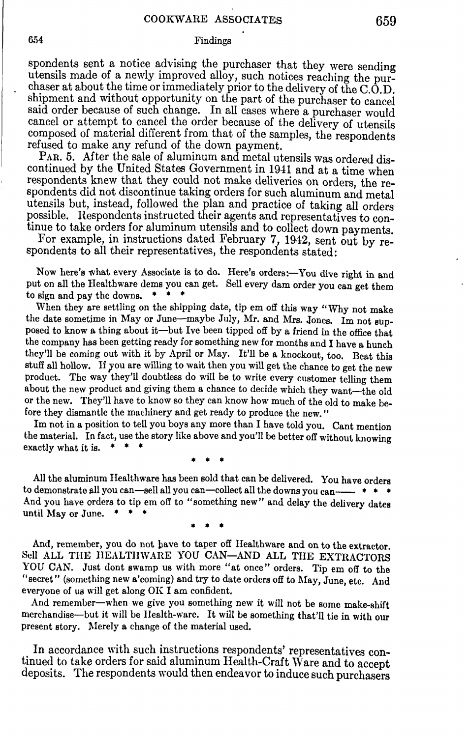### 6.54 Findings

spondents sent a notice advising the purchaser that they were sending utensils made of a newly improved alloy, such notices reaching the purchaser at about the time or immediately prior to the delivery of the C.O.D. shipment and without opportunity on the part of the purchaser to cancel said order because of such change. In all cases where a purchaser would cancel or attempt to cancel the order because of the delivery of utensils composed of material different from that of the samples, the respondents refused to make any refund of the down payment.

PAR. 5. After the sale of aluminum and metal utensils was ordered discontinued by the United States Government in 1941 and at a time when respondents knew that they could not make deliveries on orders, the respondents did not discontinue taking orders for such aluminum and metal utensils but, instead, followed the plan and practice of taking all orders possible. Respondents instructed their agents and representatives to continue to take orders for aluminum utensils and to collect down payments.

For example, in instructions dated February 7, 1942, sent out by respondents to all their representatives, the respondents stated:

Now here's what every Associate is to do. Here's orders:--You dive right in and put on all the Healthware dems you can get. Sell every dam order you can get them to sign and pay the downs.  $\bullet$   $\bullet$   $\bullet$ 

When they are settling on the shipping date, tip em off this way "Why not make the date sometime in May or June-maybe July, Mr. and Mrs. Jones. Im not supposed to know **a** thing about it-but Ive been tipped off by a friend in the office that the company has been getting ready for something new for months and I have a hunch they'll be coming out with it by April or May. It'll be **a** knockout, too. Beat this stuff all hollow. If you are willing to wait then you will get the chance to get the new product. The way they'll doubtless do will be to write every customer telling them about the new product and giving them a chance to decide which they want-the old or the new. They'll have to know so they can know how much of the old to make before they dismantle the machinery and get ready to produce the new."

Im not in a position to tell you boys any more than I have told you. Cant mention the material. In fact, use the story like above and you'll be better off without knowing exactly what it is.  $* * * *$ 

• • •

All the aluminum IIealthware has been sold that can be delivered. You have orders to demonstrate all you can-sell all you can-collect all the downs you can- $+$   $*$ And you have orders to tip em off to "something new" and delay the delivery dates until May or June.  $\bullet \bullet \bullet$ 

• • •

And, remember, you do not have to taper off Healthware and on to the extractor. Sell ALL THE HEALTHWARE YOU CAN-AND ALL THE EXTRACTORS YOU CAN. Just dont swamp us with more "at once" orders. Tip em off to the "secret" (something new a'coming) and try to date orders off to May, June, etc. And everyone of us will get along  $OKI$  am confident.

And remember-when we give you something new it will not be some make-shift merchandise—but it will be Health-ware. It will be something that'll tie in with our present story. Merely a change of the material used.

In accordance with such instructions respondents' representatives continued to take orders for said aluminum Health-Craft Ware and to accept deposits. The respondents would then endeavor to induce such purchasers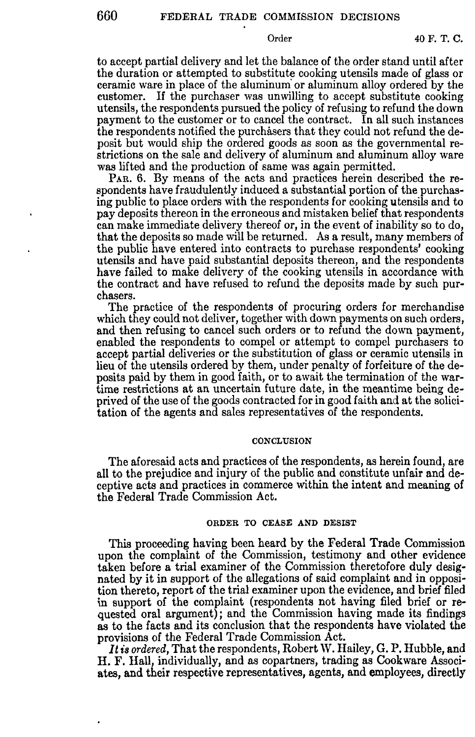Order 40 F. T. C.

to accept partial delivery and let the balance of the order stand until after the duration or attempted to substitute cooking utensils made of glass or ceramic ware in place of the aluminum· or aluminum alloy ordered by the customer. If the purchaser was unwilling to accept substitute cooking utensils, the respondents pursued the policy of refusing to refund the down payment to the customer or to cancel the contract. In all such instances the respondents notified the purchasers that they could not refund the deposit but would ship the ordered goods as soon as the governmental restrictions on the sale and delivery of aluminum and aluminum alloy ware was lifted and the production of same was again permitted.

PAR. 6. By means of the acts and practices herein described the respondents have fraudulently induced a substantial portion of the purchasing public to place orders with the respondents for cooking utensils and to pay deposits thereon in the erroneous and mistaken belief that respondents can make immediate delivery thereof or, in the event of inability so to do, that the deposits so made will be returned. As a result, many members of the public have entered into contracts to purchase respondents' cooking utensils and have paid substantial deposits thereon, and the respondents have failed to make delivery of the cooking utensils in accordance with the contract and have refused to refund the deposits made by such purchasers.

The practice of the respondents of procuring orders for merchandise which they could not deliver, together with down payments on such orders, and then refusing to cancel such orders or to refund the down payment, enabled the respondents to compel or attempt to compel purchasers to accept partial deliveries or the substitution of glass or ceramic utensils in lieu of the utensils ordered by them, under penalty of forfeiture of the deposits paid by them in good faith, or to await the termination of the wartime restrictions at an uncertain future date, in the meantime being deprived of the use of the goods contracted for in good faith and at the solicitation of the agents and sales representatives of the respondents.

#### **CONCLUSION**

The aforesaid acts and practices of the respondents, as herein found, are all to the prejudice and injury of the public and constitute unfair and deceptive acts and practices in commerce within the intent and meaning of the Federal Trade Commission Act.

#### ORDER TO CEASE AND DESIST

This proceeding having been heard by the Federal Trade Commission upon the complaint of the Commission, testimony and other evidence taken before a trial examiner of the Commission theretofore duly designated by it in support of the allegations of said complaint and in opposition thereto, report of the trial examiner upon the evidence, and brief filed in support of the complaint (respondents not having filed brief or requested oral argument); and the Commission having made its findings as to the facts and its conclusion that the respondents have violated the provisions of the Federal Trade Commission Act.

*It is ordered,* That the respondents, Robert W. Hailey, G. P. Hubble, and H.F. Hall, individually, and as copartners, trading as Cookware Associates, and their respective representatives, agents, and employees, directly